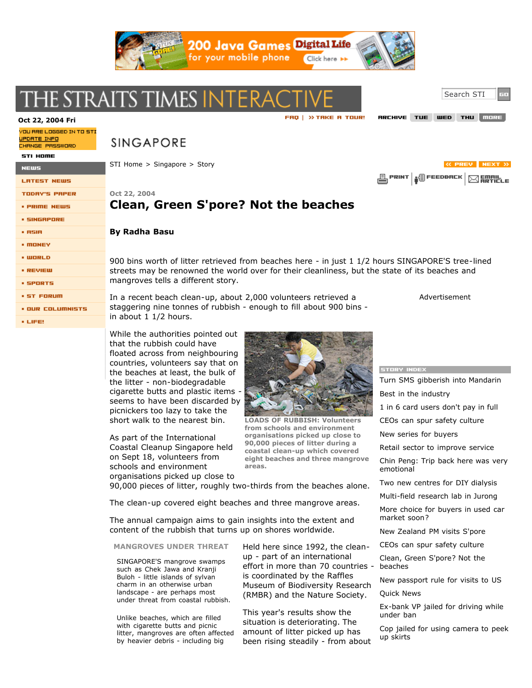

# THE STRAITS TIMES INTERA

### **Oct 22, <sup>2004</sup> Fri**

YOU ARE LOGGED IN TO STI <u>UPDATE INFO</u> CHANGE PASSWORD

**SINGAPORE** 

STI Home > Singapore > Story

**LRTEST NEWS** 

STI HOME

NEWS

- **TODAY'S PAPER**
- **PRIME NEWS**
- **SINGRPORE**
- $+$  RSIR
- **MONEY**
- $\cdot$  WORLD
- · REVIEW
- **SPORTS**
- **· ST FORUM**
- **. OUR COLUMNISTS**
- $LIFE!$

**Oct 22, 2004**

## **Clean, Green S'pore? Not the beaches**

#### **By Radha Basu**

900 bins worth of litter retrieved from beaches here - in just 1 1/2 hours SINGAPORE'S tree-lined streets may be renowned the world over for their cleanliness, but the state of its beaches and mangroves tells a different story.

In a recent beach clean-up, about 2,000 volunteers retrieved a staggering nine tonnes of rubbish - enough to fill about 900 bins in about 1 1/2 hours.

While the authorities pointed out that the rubbish could have floated across from neighbouring countries, volunteers say that on the beaches at least, the bulk of the litter - non-biodegradable cigarette butts and plastic items -

seems to have been discarded by picnickers too lazy to take the short walk to the nearest bin.

As part of the International Coastal Cleanup Singapore held on Sept 18, volunteers from schools and environment organisations picked up close to

**LOADS OF RUBBISH: Volunteers from schools and environment organisations picked up close to 90,000 pieces of litter during a coastal clean-up which covered eight beaches and three mangrove areas.**

90,000 pieces of litter, roughly two-thirds from the beaches alone.

The clean-up covered eight beaches and three mangrove areas.

The annual campaign aims to gain insights into the extent and content of the rubbish that turns up on shores worldwide.

### **MANGROVES UNDER THREAT**

SINGAPORE'S mangrove swamps such as Chek Jawa and Kranji Buloh - little islands of sylvan charm in an otherwise urban landscape - are perhaps most under threat from coastal rubbish.

Unlike beaches, which are filled with cigarette butts and picnic litter, mangroves are often affected by heavier debris - including big

Held here since 1992, the cleanup - part of an international effort in more than 70 countries is coordinated by the Raffles Museum of Biodiversity Research (RMBR) and the Nature Society.

This year's results show the situation is deteriorating. The amount of litter picked up has been rising steadily - from about **STORY INDEX** 

Turn SMS gibberish into Mandarin Best in the industry 1 in 6 card users don't pay in full CEOs can spur safety culture New series for buyers Retail sector to improve service Chin Peng: Trip back here was very emotional Two new centres for DIY dialysis Multi-field research lab in Jurong More choice for buyers in used car market soon? New Zealand PM visits S'pore CEOs can spur safety culture Clean, Green S'pore? Not the beaches New passport rule for visits to US Quick News

Ex-bank VP jailed for driving while under ban

Cop jailed for using camera to peek up skirts

Search STI

RRCHIVE TUE WED THU MORE

*K PREV NEXT >>* 

Advertisement